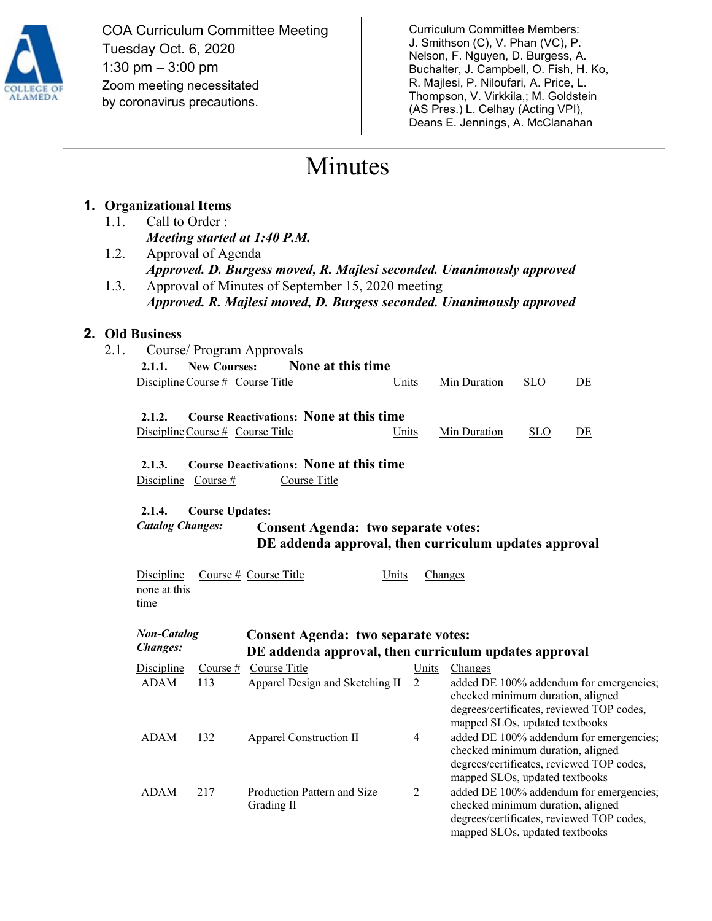

COA Curriculum Committee Meeting Tuesday Oct. 6, 2020 1:30 pm – 3:00 pm Zoom meeting necessitated by coronavirus precautions.

Curriculum Committee Members: J. Smithson (C), V. Phan (VC), P. Nelson, F. Nguyen, D. Burgess, A. Buchalter, J. Campbell, O. Fish, H. Ko, R. Majlesi, P. Niloufari, A. Price, L. Thompson, V. Virkkila,; M. Goldstein (AS Pres.) L. Celhay (Acting VPI), Deans E. Jennings, A. McClanahan

> degrees/certificates, reviewed TOP codes, mapped SLOs, updated textbooks

# Minutes

## **1. Organizational Items**

- 1.1. Call to Order : *Meeting started at 1:40 P.M.*
- 1.2. Approval of Agenda *Approved. D. Burgess moved, R. Majlesi seconded. Unanimously approved*
- 1.3. Approval of Minutes of September 15, 2020 meeting *Approved. R. Majlesi moved, D. Burgess seconded. Unanimously approved*

## **2. Old Business**

2.1. Course/ Program Approvals **2.1.1. New Courses: None at this time** Discipline Course # Course Title Units Min Duration SLO DE **2.1.2. Course Reactivations: None at this time**  Discipline Course # Course Title Units Min Duration SLO DE **2.1.3. Course Deactivations: None at this time** Discipline Course # Course Title **2.1.4. Course Updates:**  *Catalog Changes:* **Consent Agenda: two separate votes: DE addenda approval, then curriculum updates approval** Discipline Course # Course Title Units Changes none at this time *Non-Catalog Changes:* **Consent Agenda: two separate votes: DE addenda approval, then curriculum updates approval** Discipline Course # Course Title Units Changes ADAM 113 Apparel Design and Sketching II 2 added DE 100% addendum for emergencies; checked minimum duration, aligned degrees/certificates, reviewed TOP codes, mapped SLOs, updated textbooks ADAM 132 Apparel Construction II 4 added DE 100% addendum for emergencies; checked minimum duration, aligned degrees/certificates, reviewed TOP codes, mapped SLOs, updated textbooks ADAM 217 Production Pattern and Size Grading II 2 added DE 100% addendum for emergencies; checked minimum duration, aligned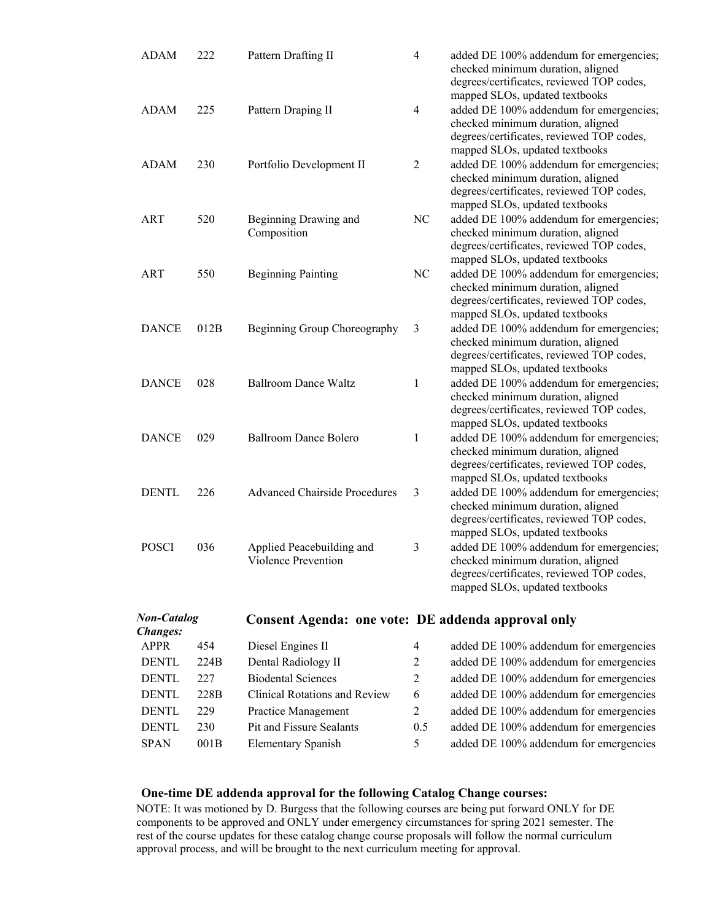| <b>ADAM</b>                    | 222  | Pattern Drafting II                                | $\overline{4}$ | added DE 100% addendum for emergencies;<br>checked minimum duration, aligned<br>degrees/certificates, reviewed TOP codes,                                                                     |
|--------------------------------|------|----------------------------------------------------|----------------|-----------------------------------------------------------------------------------------------------------------------------------------------------------------------------------------------|
| <b>ADAM</b>                    | 225  | Pattern Draping II                                 | 4              | mapped SLOs, updated textbooks<br>added DE 100% addendum for emergencies;<br>checked minimum duration, aligned<br>degrees/certificates, reviewed TOP codes,                                   |
| ADAM                           | 230  | Portfolio Development II                           | $\overline{2}$ | mapped SLOs, updated textbooks<br>added DE 100% addendum for emergencies;<br>checked minimum duration, aligned<br>degrees/certificates, reviewed TOP codes,<br>mapped SLOs, updated textbooks |
| <b>ART</b>                     | 520  | Beginning Drawing and<br>Composition               | N <sub>C</sub> | added DE 100% addendum for emergencies;<br>checked minimum duration, aligned<br>degrees/certificates, reviewed TOP codes,<br>mapped SLOs, updated textbooks                                   |
| <b>ART</b>                     | 550  | <b>Beginning Painting</b>                          | NC             | added DE 100% addendum for emergencies;<br>checked minimum duration, aligned<br>degrees/certificates, reviewed TOP codes,<br>mapped SLOs, updated textbooks                                   |
| <b>DANCE</b>                   | 012B | Beginning Group Choreography                       | 3              | added DE 100% addendum for emergencies;<br>checked minimum duration, aligned<br>degrees/certificates, reviewed TOP codes,<br>mapped SLOs, updated textbooks                                   |
| <b>DANCE</b>                   | 028  | <b>Ballroom Dance Waltz</b>                        | 1              | added DE 100% addendum for emergencies;<br>checked minimum duration, aligned<br>degrees/certificates, reviewed TOP codes,<br>mapped SLOs, updated textbooks                                   |
| <b>DANCE</b>                   | 029  | <b>Ballroom Dance Bolero</b>                       | 1              | added DE 100% addendum for emergencies;<br>checked minimum duration, aligned<br>degrees/certificates, reviewed TOP codes,<br>mapped SLOs, updated textbooks                                   |
| <b>DENTL</b>                   | 226  | <b>Advanced Chairside Procedures</b>               | 3              | added DE 100% addendum for emergencies;<br>checked minimum duration, aligned<br>degrees/certificates, reviewed TOP codes,<br>mapped SLOs, updated textbooks                                   |
| <b>POSCI</b>                   | 036  | Applied Peacebuilding and<br>Violence Prevention   | 3              | added DE 100% addendum for emergencies;<br>checked minimum duration, aligned<br>degrees/certificates, reviewed TOP codes,<br>mapped SLOs, updated textbooks                                   |
| Non-Catalog<br><b>Changes:</b> |      | Consent Agenda: one vote: DE addenda approval only |                |                                                                                                                                                                                               |
| <b>APPR</b>                    | 454  | Diesel Engines II                                  | 4              | added DE 100% addendum for emergencies                                                                                                                                                        |
| <b>DENTL</b>                   | 224B | Dental Radiology II                                | $\overline{c}$ | added DE 100% addendum for emergencies                                                                                                                                                        |

| <b>DENTL</b> | 22.7 | <b>Biodental Sciences</b>     | 2   | added DE 100% addendum for emergencies |
|--------------|------|-------------------------------|-----|----------------------------------------|
| <b>DENTL</b> | 228B | Clinical Rotations and Review | 6   | added DE 100% addendum for emergencies |
| <b>DENTL</b> | 229  | Practice Management           | 2   | added DE 100% addendum for emergencies |
| <b>DENTL</b> | 230  | Pit and Fissure Sealants      | 0.5 | added DE 100% addendum for emergencies |
| <b>SPAN</b>  | 001B | <b>Elementary Spanish</b>     | 5.  | added DE 100% addendum for emergencies |
|              |      |                               |     |                                        |

### **One-time DE addenda approval for the following Catalog Change courses:**

NOTE: It was motioned by D. Burgess that the following courses are being put forward ONLY for DE components to be approved and ONLY under emergency circumstances for spring 2021 semester. The rest of the course updates for these catalog change course proposals will follow the normal curriculum approval process, and will be brought to the next curriculum meeting for approval.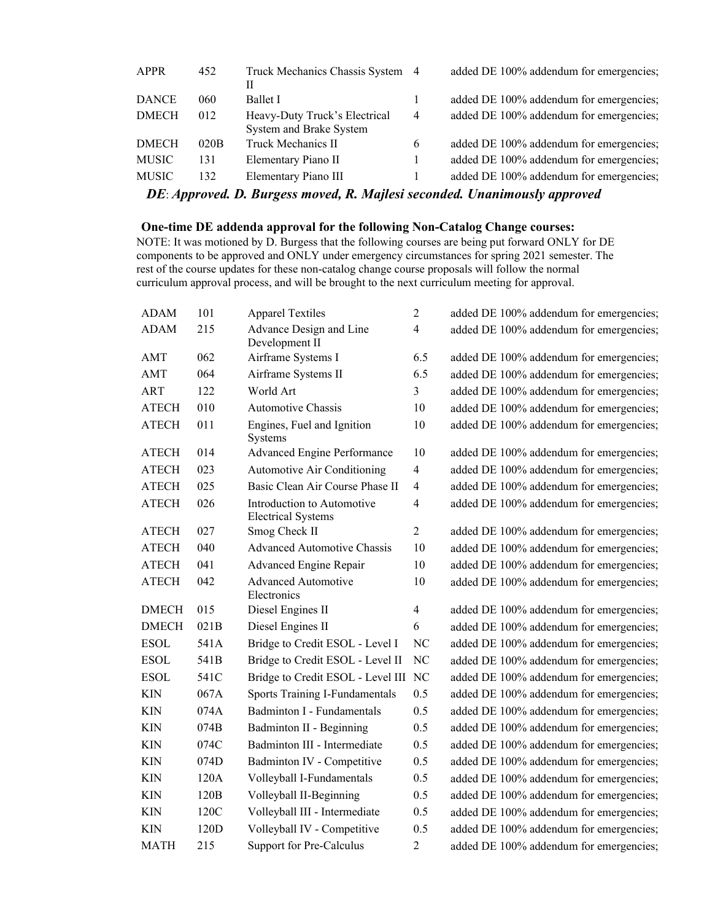| <b>APPR</b>  | 452  | Truck Mechanics Chassis System 4<br>Н |                | added DE 100% addendum for emergencies; |
|--------------|------|---------------------------------------|----------------|-----------------------------------------|
| <b>DANCE</b> | 060  | <b>Ballet I</b>                       |                | added DE 100% addendum for emergencies; |
| <b>DMECH</b> | 012  | Heavy-Duty Truck's Electrical         | $\overline{4}$ | added DE 100% addendum for emergencies; |
|              |      | System and Brake System               |                |                                         |
| <b>DMECH</b> | 020B | <b>Truck Mechanics II</b>             | 6              | added DE 100% addendum for emergencies; |
| <b>MUSIC</b> | 131  | Elementary Piano II                   |                | added DE 100% addendum for emergencies; |
| <b>MUSIC</b> | 132  | Elementary Piano III                  |                | added DE 100% addendum for emergencies; |

*DE*: *Approved. D. Burgess moved, R. Majlesi seconded. Unanimously approved*

#### **One-time DE addenda approval for the following Non-Catalog Change courses:**

NOTE: It was motioned by D. Burgess that the following courses are being put forward ONLY for DE components to be approved and ONLY under emergency circumstances for spring 2021 semester. The rest of the course updates for these non-catalog change course proposals will follow the normal curriculum approval process, and will be brought to the next curriculum meeting for approval.

| <b>ADAM</b>  | 101  | <b>Apparel Textiles</b>                                 | $\overline{c}$          | added DE 100% addendum for emergencies; |
|--------------|------|---------------------------------------------------------|-------------------------|-----------------------------------------|
| <b>ADAM</b>  | 215  | Advance Design and Line<br>Development II               | $\overline{4}$          | added DE 100% addendum for emergencies; |
| AMT          | 062  | Airframe Systems I                                      | 6.5                     | added DE 100% addendum for emergencies; |
| AMT          | 064  | Airframe Systems II                                     | 6.5                     | added DE 100% addendum for emergencies; |
| <b>ART</b>   | 122  | World Art                                               | $\overline{3}$          | added DE 100% addendum for emergencies; |
| <b>ATECH</b> | 010  | Automotive Chassis                                      | 10                      | added DE 100% addendum for emergencies; |
| <b>ATECH</b> | 011  | Engines, Fuel and Ignition<br>Systems                   | 10                      | added DE 100% addendum for emergencies; |
| <b>ATECH</b> | 014  | Advanced Engine Performance                             | 10                      | added DE 100% addendum for emergencies; |
| <b>ATECH</b> | 023  | <b>Automotive Air Conditioning</b>                      | $\overline{4}$          | added DE 100% addendum for emergencies; |
| <b>ATECH</b> | 025  | Basic Clean Air Course Phase II                         | $\overline{4}$          | added DE 100% addendum for emergencies; |
| <b>ATECH</b> | 026  | Introduction to Automotive<br><b>Electrical Systems</b> | $\overline{\mathbf{4}}$ | added DE 100% addendum for emergencies; |
| <b>ATECH</b> | 027  | Smog Check II                                           | $\overline{c}$          | added DE 100% addendum for emergencies; |
| <b>ATECH</b> | 040  | <b>Advanced Automotive Chassis</b>                      | 10                      | added DE 100% addendum for emergencies; |
| <b>ATECH</b> | 041  | Advanced Engine Repair                                  | 10                      | added DE 100% addendum for emergencies; |
| <b>ATECH</b> | 042  | <b>Advanced Automotive</b><br>Electronics               | 10                      | added DE 100% addendum for emergencies; |
| <b>DMECH</b> | 015  | Diesel Engines II                                       | $\overline{4}$          | added DE 100% addendum for emergencies; |
| <b>DMECH</b> | 021B | Diesel Engines II                                       | 6                       | added DE 100% addendum for emergencies; |
| <b>ESOL</b>  | 541A | Bridge to Credit ESOL - Level I                         | <b>NC</b>               | added DE 100% addendum for emergencies; |
| <b>ESOL</b>  | 541B | Bridge to Credit ESOL - Level II                        | N <sub>C</sub>          | added DE 100% addendum for emergencies; |
| <b>ESOL</b>  | 541C | Bridge to Credit ESOL - Level III NC                    |                         | added DE 100% addendum for emergencies; |
| <b>KIN</b>   | 067A | Sports Training I-Fundamentals                          | 0.5                     | added DE 100% addendum for emergencies; |
| <b>KIN</b>   | 074A | <b>Badminton I - Fundamentals</b>                       | 0.5                     | added DE 100% addendum for emergencies; |
| <b>KIN</b>   | 074B | Badminton II - Beginning                                | 0.5                     | added DE 100% addendum for emergencies; |
| <b>KIN</b>   | 074C | Badminton III - Intermediate                            | 0.5                     | added DE 100% addendum for emergencies; |
| <b>KIN</b>   | 074D | Badminton IV - Competitive                              | 0.5                     | added DE 100% addendum for emergencies; |
| <b>KIN</b>   | 120A | Volleyball I-Fundamentals                               | 0.5                     | added DE 100% addendum for emergencies; |
| <b>KIN</b>   | 120B | Volleyball II-Beginning                                 | 0.5                     | added DE 100% addendum for emergencies; |
| <b>KIN</b>   | 120C | Volleyball III - Intermediate                           | 0.5                     | added DE 100% addendum for emergencies; |
| <b>KIN</b>   | 120D | Volleyball IV - Competitive                             | 0.5                     | added DE 100% addendum for emergencies; |
| <b>MATH</b>  | 215  | Support for Pre-Calculus                                | $\overline{2}$          | added DE 100% addendum for emergencies; |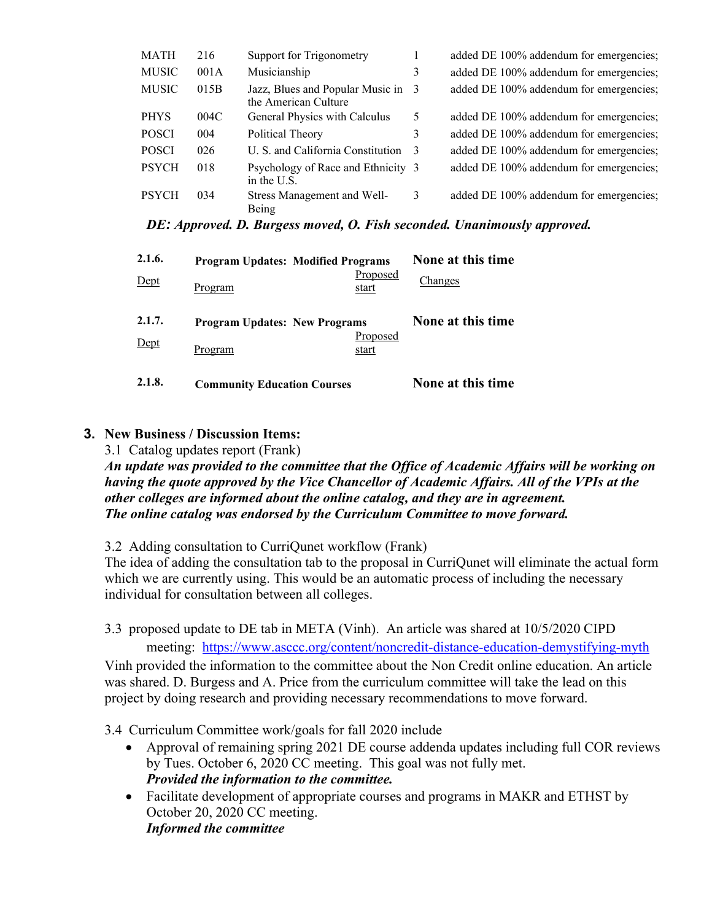| MATH         | 216  | Support for Trigonometry                                 |   | added DE 100% addendum for emergencies; |
|--------------|------|----------------------------------------------------------|---|-----------------------------------------|
| <b>MUSIC</b> | 001A | Musicianship                                             | 3 | added DE 100% addendum for emergencies; |
| <b>MUSIC</b> | 015B | Jazz, Blues and Popular Music in<br>the American Culture | 3 | added DE 100% addendum for emergencies; |
| <b>PHYS</b>  | 004C | General Physics with Calculus                            | 5 | added DE 100% addendum for emergencies; |
| <b>POSCI</b> | 004  | Political Theory                                         | 3 | added DE 100% addendum for emergencies; |
| <b>POSCI</b> | 026  | U. S. and California Constitution                        | 3 | added DE 100% addendum for emergencies; |
| <b>PSYCH</b> | 018  | Psychology of Race and Ethnicity 3<br>in the U.S.        |   | added DE 100% addendum for emergencies; |
| <b>PSYCH</b> | 034  | Stress Management and Well-<br><b>Reing</b>              | 3 | added DE 100% addendum for emergencies; |

*DE: Approved. D. Burgess moved, O. Fish seconded. Unanimously approved.*

| 2.1.6.<br>Dept | <b>Program Updates: Modified Programs</b><br>Proposed<br>Program<br>start | None at this time<br>Changes |
|----------------|---------------------------------------------------------------------------|------------------------------|
| 2.1.7.<br>Dept | <b>Program Updates: New Programs</b><br>Proposed<br>Program<br>start      | None at this time            |
| 2.1.8.         | <b>Community Education Courses</b>                                        | None at this time            |

## **3. New Business / Discussion Items:**

3.1 Catalog updates report (Frank)

*An update was provided to the committee that the Office of Academic Affairs will be working on having the quote approved by the Vice Chancellor of Academic Affairs. All of the VPIs at the other colleges are informed about the online catalog, and they are in agreement. The online catalog was endorsed by the Curriculum Committee to move forward.* 

3.2 Adding consultation to CurriQunet workflow (Frank)

The idea of adding the consultation tab to the proposal in CurriQunet will eliminate the actual form which we are currently using. This would be an automatic process of including the necessary individual for consultation between all colleges.

3.3 proposed update to DE tab in META (Vinh). An article was shared at 10/5/2020 CIPD

meeting: <https://www.asccc.org/content/noncredit-distance-education-demystifying-myth> Vinh provided the information to the committee about the Non Credit online education. An article was shared. D. Burgess and A. Price from the curriculum committee will take the lead on this project by doing research and providing necessary recommendations to move forward.

3.4 Curriculum Committee work/goals for fall 2020 include

- Approval of remaining spring 2021 DE course addenda updates including full COR reviews by Tues. October 6, 2020 CC meeting. This goal was not fully met. *Provided the information to the committee.*
- Facilitate development of appropriate courses and programs in MAKR and ETHST by October 20, 2020 CC meeting. *Informed the committee*